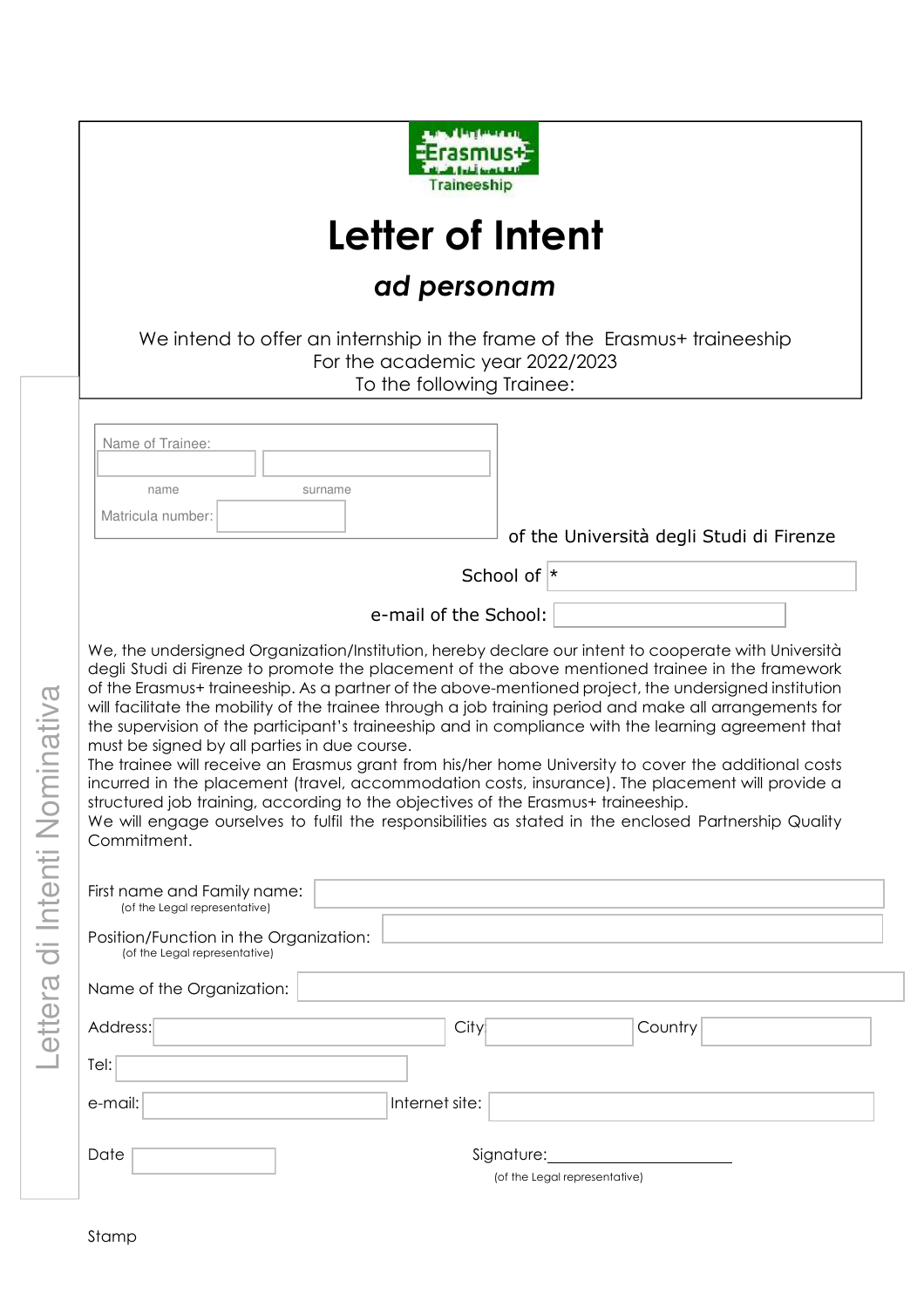

# **Letter of Intent**

# *ad personam*

We intend to offer an internship in the frame of the Erasmus+ traineeship For the academic year 2022/2023 To the following Trainee:

 Name of Trainee: name surname Matricula number:

of the Università degli Studi di Firenze

School of \*

e-mail of the School:

We, the undersigned Organization/Institution, hereby declare our intent to cooperate with Università degli Studi di Firenze to promote the placement of the above mentioned trainee in the framework of the Erasmus+ traineeship. As a partner of the above-mentioned project, the undersigned institution will facilitate the mobility of the trainee through a job training period and make all arrangements for the supervision of the participant's traineeship and in compliance with the learning agreement that must be signed by all parties in due course.

The trainee will receive an Erasmus grant from his/her home University to cover the additional costs incurred in the placement (travel, accommodation costs, insurance). The placement will provide a structured job training, according to the objectives of the Erasmus+ traineeship.

We will engage ourselves to fulfil the responsibilities as stated in the enclosed Partnership Quality Commitment.

| First name and Family name:<br>(of the Legal representative)            |
|-------------------------------------------------------------------------|
| Position/Function in the Organization:<br>(of the Legal representative) |
| Name of the Organization:                                               |
| Address:<br>Country<br>City                                             |
| Tel:                                                                    |
| Internet site:<br>e-mail:                                               |
| Date<br>Signature:<br>(of the Legal representative)                     |

a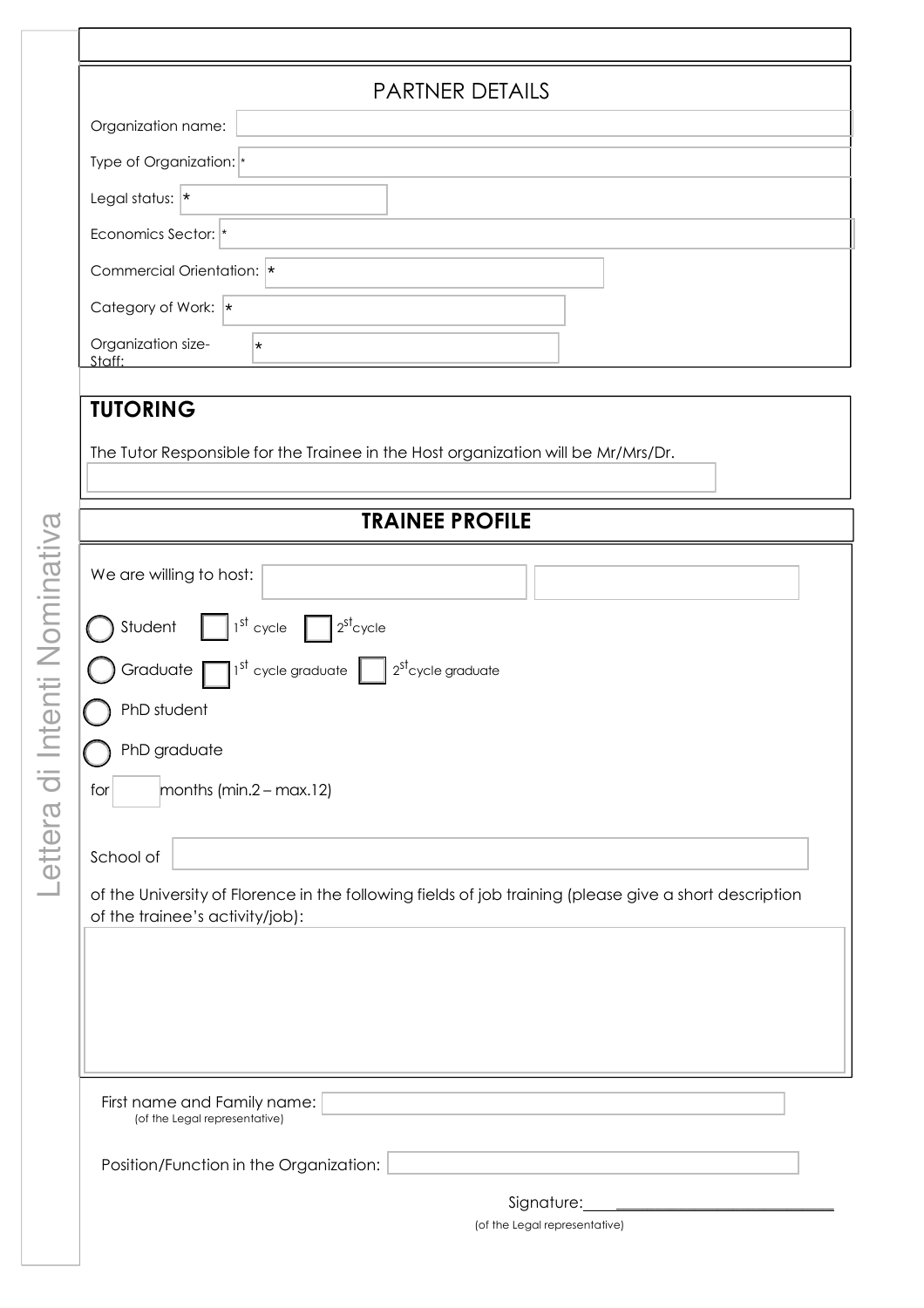| <b>PARTNER DETAILS</b>                                                                                                                    |                               |  |
|-------------------------------------------------------------------------------------------------------------------------------------------|-------------------------------|--|
| Organization name:                                                                                                                        |                               |  |
| Type of Organization: *                                                                                                                   |                               |  |
| Legal status: $*$                                                                                                                         |                               |  |
| Economics Sector: *                                                                                                                       |                               |  |
| Commercial Orientation:  *                                                                                                                |                               |  |
| Category of Work:  *                                                                                                                      |                               |  |
| Organization size-<br>¥<br>Staff:                                                                                                         |                               |  |
| <b>TUTORING</b>                                                                                                                           |                               |  |
| The Tutor Responsible for the Trainee in the Host organization will be Mr/Mrs/Dr.                                                         |                               |  |
| <b>TRAINEE PROFILE</b>                                                                                                                    |                               |  |
| We are willing to host:                                                                                                                   |                               |  |
|                                                                                                                                           |                               |  |
| Student $\int_0^{\frac{1}{5}}$ 1 <sup>st</sup> cycle $\int_0^{\frac{1}{25}} 2^{5}$ cycle                                                  |                               |  |
| Graduate $\Box$ 1 <sup>st</sup> cycle graduate $\Box$ 2 <sup>st</sup> cycle graduate                                                      |                               |  |
| PhD student                                                                                                                               |                               |  |
| PhD graduate                                                                                                                              |                               |  |
| months (min. $2 - max.12$ )<br>for                                                                                                        |                               |  |
|                                                                                                                                           |                               |  |
| School of                                                                                                                                 |                               |  |
| of the University of Florence in the following fields of job training (please give a short description<br>of the trainee's activity/job): |                               |  |
|                                                                                                                                           |                               |  |
|                                                                                                                                           |                               |  |
|                                                                                                                                           |                               |  |
|                                                                                                                                           |                               |  |
| First name and Family name:<br>(of the Legal representative)                                                                              |                               |  |
| Position/Function in the Organization:                                                                                                    |                               |  |
|                                                                                                                                           | Signature:                    |  |
|                                                                                                                                           | (of the Legal representative) |  |

Lett  $\mathbb O$ ra di In te $\subseteq$ ti Nomina tiv

 $\varpi$